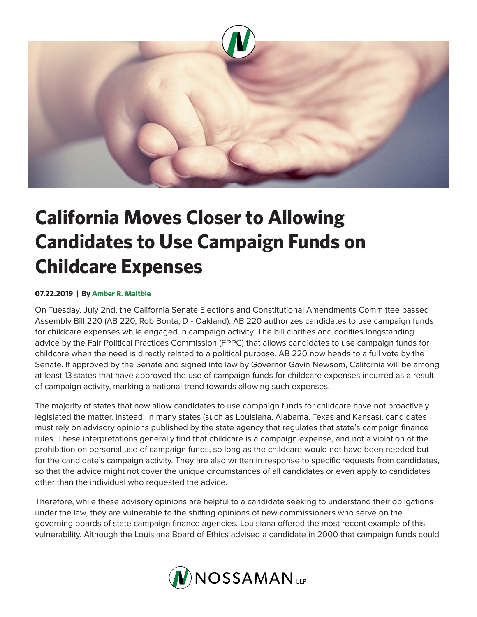

## **California Moves Closer to Allowing Candidates to Use Campaign Funds on Childcare Expenses**

## **07.22.2019 | By Amber R. Maltbie**

On Tuesday, July 2nd, the California Senate Elections and Constitutional Amendments Committee passed Assembly Bill 220 (AB 220, Rob Bonta, D - Oakland). AB 220 authorizes candidates to use campaign funds for childcare expenses while engaged in campaign activity. The bill clarifies and codifies longstanding advice by the Fair Political Practices Commission (FPPC) that allows candidates to use campaign funds for childcare when the need is directly related to a political purpose. AB 220 now heads to a full vote by the Senate. If approved by the Senate and signed into law by Governor Gavin Newsom, California will be among at least 13 states that have approved the use of campaign funds for childcare expenses incurred as a result of campaign activity, marking a national trend towards allowing such expenses.

The majority of states that now allow candidates to use campaign funds for childcare have not proactively legislated the matter. Instead, in many states (such as Louisiana, Alabama, Texas and Kansas), candidates must rely on advisory opinions published by the state agency that regulates that state's campaign finance rules. These interpretations generally find that childcare is a campaign expense, and not a violation of the prohibition on personal use of campaign funds, so long as the childcare would not have been needed but for the candidate's campaign activity. They are also written in response to specific requests from candidates, so that the advice might not cover the unique circumstances of all candidates or even apply to candidates other than the individual who requested the advice.

Therefore, while these advisory opinions are helpful to a candidate seeking to understand their obligations under the law, they are vulnerable to the shifting opinions of new commissioners who serve on the governing boards of state campaign finance agencies. Louisiana offered the most recent example of this vulnerability. Although the Louisiana Board of Ethics advised a candidate in 2000 that campaign funds could